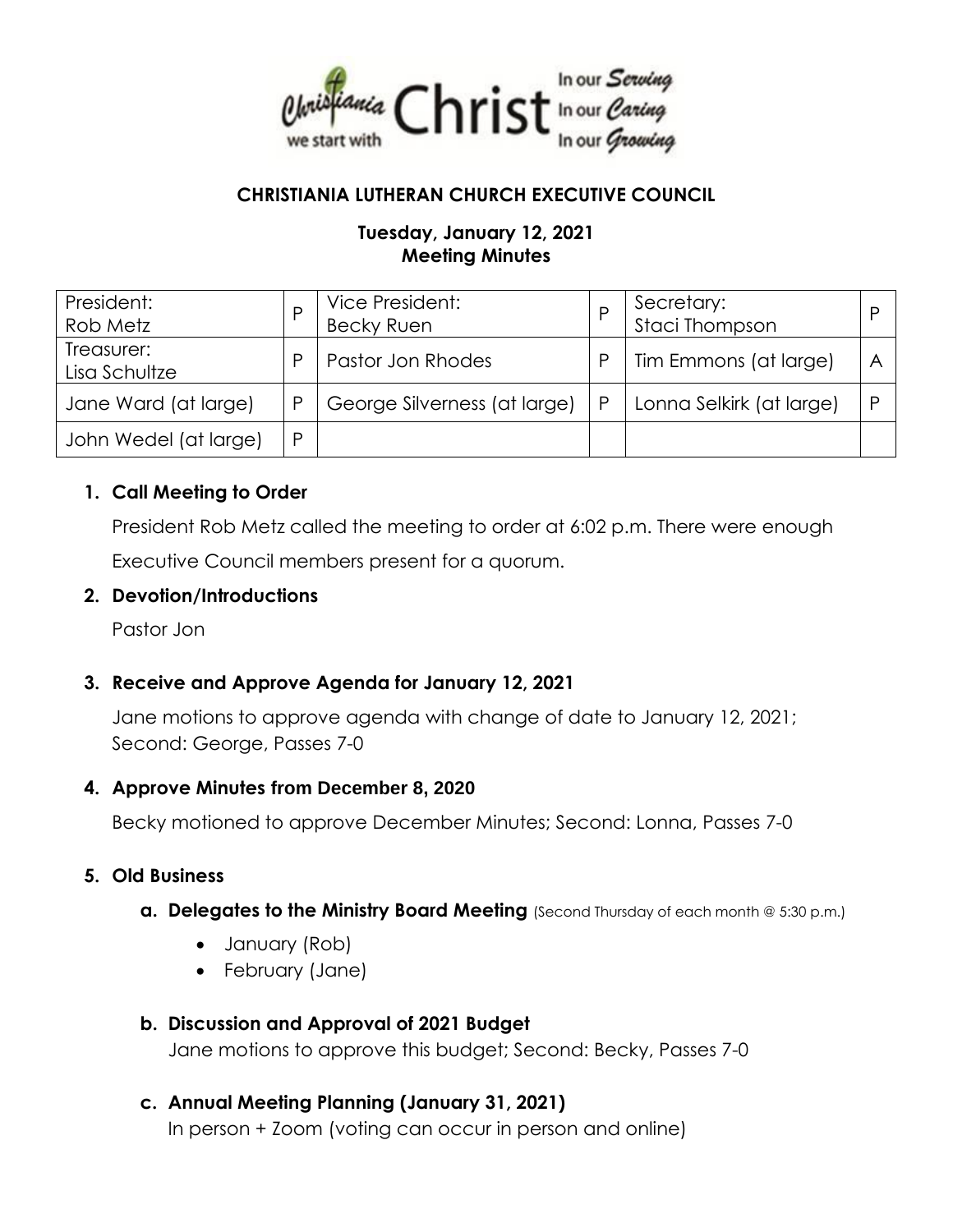

### **CHRISTIANIA LUTHERAN CHURCH EXECUTIVE COUNCIL**

### **Tuesday, January 12, 2021 Meeting Minutes**

| President:<br>Rob Metz      |   | Vice President:<br>Becky Ruen |   | Secretary:<br>Staci Thompson |  |
|-----------------------------|---|-------------------------------|---|------------------------------|--|
| Treasurer:<br>Lisa Schultze | D | Pastor Jon Rhodes             |   | Tim Emmons (at large)        |  |
| Jane Ward (at large)        | P | George Silverness (at large)  | P | Lonna Selkirk (at large)     |  |
| John Wedel (at large)       | P |                               |   |                              |  |

#### **1. Call Meeting to Order**

President Rob Metz called the meeting to order at 6:02 p.m. There were enough Executive Council members present for a quorum.

#### **2. Devotion/Introductions**

Pastor Jon

### **3. Receive and Approve Agenda for January 12, 2021**

Jane motions to approve agenda with change of date to January 12, 2021; Second: George, Passes 7-0

#### **4. Approve Minutes from December 8, 2020**

Becky motioned to approve December Minutes; Second: Lonna, Passes 7-0

### **5. Old Business**

- **a. Delegates to the Ministry Board Meeting** (Second Thursday of each month @ 5:30 p.m.)
	- January (Rob)
	- February (Jane)

# **b. Discussion and Approval of 2021 Budget** Jane motions to approve this budget; Second: Becky, Passes 7-0

**c. Annual Meeting Planning (January 31, 2021)** In person + Zoom (voting can occur in person and online)